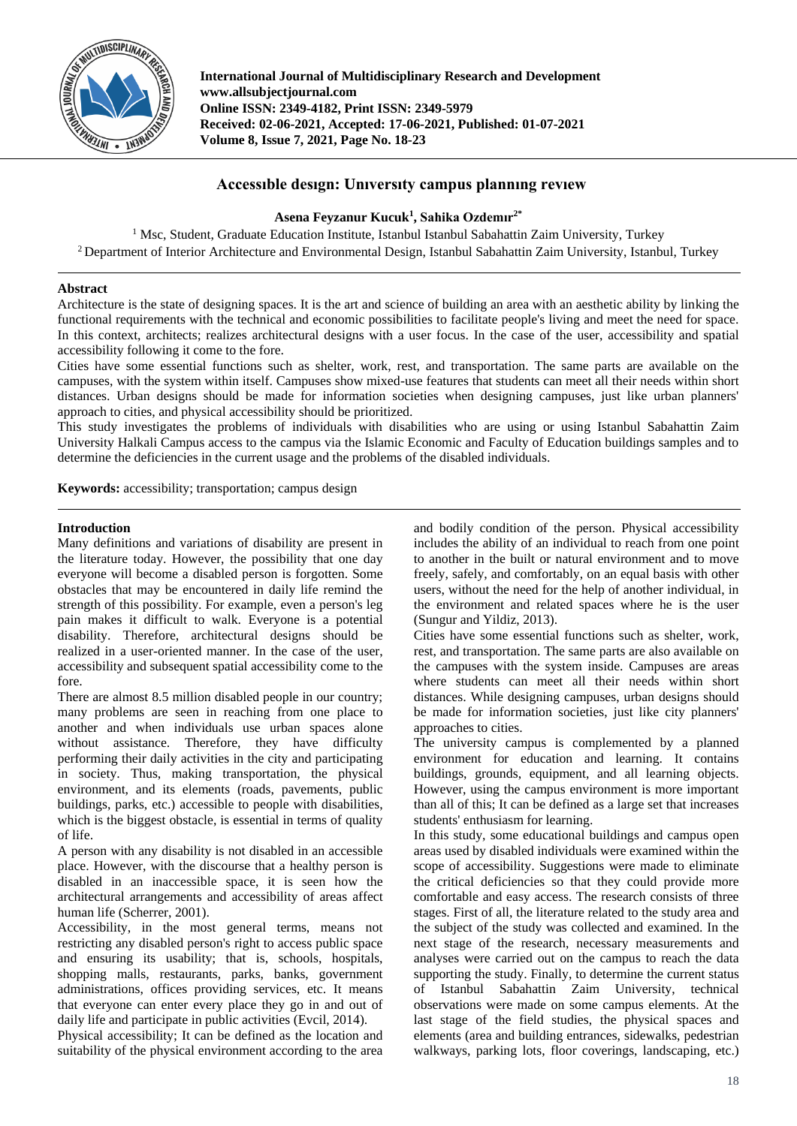

**International Journal of Multidisciplinary Research and Development www.allsubjectjournal.com Online ISSN: 2349-4182, Print ISSN: 2349-5979 Received: 02-06-2021, Accepted: 17-06-2021, Published: 01-07-2021 Volume 8, Issue 7, 2021, Page No. 18-23**

# **Accessıble desıgn: Unıversıty campus plannıng revıew**

# **Asena Feyzanur Kucuk<sup>1</sup> , Sahika Ozdemır2\***

 $1$  Msc, Student, Graduate Education Institute, Istanbul Istanbul Sabahattin Zaim University, Turkey <sup>2</sup> Department of Interior Architecture and Environmental Design, Istanbul Sabahattin Zaim University, Istanbul, Turkey

# **Abstract**

Architecture is the state of designing spaces. It is the art and science of building an area with an aesthetic ability by linking the functional requirements with the technical and economic possibilities to facilitate people's living and meet the need for space. In this context, architects; realizes architectural designs with a user focus. In the case of the user, accessibility and spatial accessibility following it come to the fore.

Cities have some essential functions such as shelter, work, rest, and transportation. The same parts are available on the campuses, with the system within itself. Campuses show mixed-use features that students can meet all their needs within short distances. Urban designs should be made for information societies when designing campuses, just like urban planners' approach to cities, and physical accessibility should be prioritized.

This study investigates the problems of individuals with disabilities who are using or using Istanbul Sabahattin Zaim University Halkali Campus access to the campus via the Islamic Economic and Faculty of Education buildings samples and to determine the deficiencies in the current usage and the problems of the disabled individuals.

**Keywords:** accessibility; transportation; campus design

### **Introduction**

Many definitions and variations of disability are present in the literature today. However, the possibility that one day everyone will become a disabled person is forgotten. Some obstacles that may be encountered in daily life remind the strength of this possibility. For example, even a person's leg pain makes it difficult to walk. Everyone is a potential disability. Therefore, architectural designs should be realized in a user-oriented manner. In the case of the user, accessibility and subsequent spatial accessibility come to the fore.

There are almost 8.5 million disabled people in our country; many problems are seen in reaching from one place to another and when individuals use urban spaces alone without assistance. Therefore, they have difficulty performing their daily activities in the city and participating in society. Thus, making transportation, the physical environment, and its elements (roads, pavements, public buildings, parks, etc.) accessible to people with disabilities, which is the biggest obstacle, is essential in terms of quality of life.

A person with any disability is not disabled in an accessible place. However, with the discourse that a healthy person is disabled in an inaccessible space, it is seen how the architectural arrangements and accessibility of areas affect human life (Scherrer, 2001).

Accessibility, in the most general terms, means not restricting any disabled person's right to access public space and ensuring its usability; that is, schools, hospitals, shopping malls, restaurants, parks, banks, government administrations, offices providing services, etc. It means that everyone can enter every place they go in and out of daily life and participate in public activities (Evcil, 2014).

Physical accessibility; It can be defined as the location and suitability of the physical environment according to the area

and bodily condition of the person. Physical accessibility includes the ability of an individual to reach from one point to another in the built or natural environment and to move freely, safely, and comfortably, on an equal basis with other users, without the need for the help of another individual, in the environment and related spaces where he is the user (Sungur and Yildiz, 2013).

Cities have some essential functions such as shelter, work, rest, and transportation. The same parts are also available on the campuses with the system inside. Campuses are areas where students can meet all their needs within short distances. While designing campuses, urban designs should be made for information societies, just like city planners' approaches to cities.

The university campus is complemented by a planned environment for education and learning. It contains buildings, grounds, equipment, and all learning objects. However, using the campus environment is more important than all of this; It can be defined as a large set that increases students' enthusiasm for learning.

In this study, some educational buildings and campus open areas used by disabled individuals were examined within the scope of accessibility. Suggestions were made to eliminate the critical deficiencies so that they could provide more comfortable and easy access. The research consists of three stages. First of all, the literature related to the study area and the subject of the study was collected and examined. In the next stage of the research, necessary measurements and analyses were carried out on the campus to reach the data supporting the study. Finally, to determine the current status of Istanbul Sabahattin Zaim University, technical observations were made on some campus elements. At the last stage of the field studies, the physical spaces and elements (area and building entrances, sidewalks, pedestrian walkways, parking lots, floor coverings, landscaping, etc.)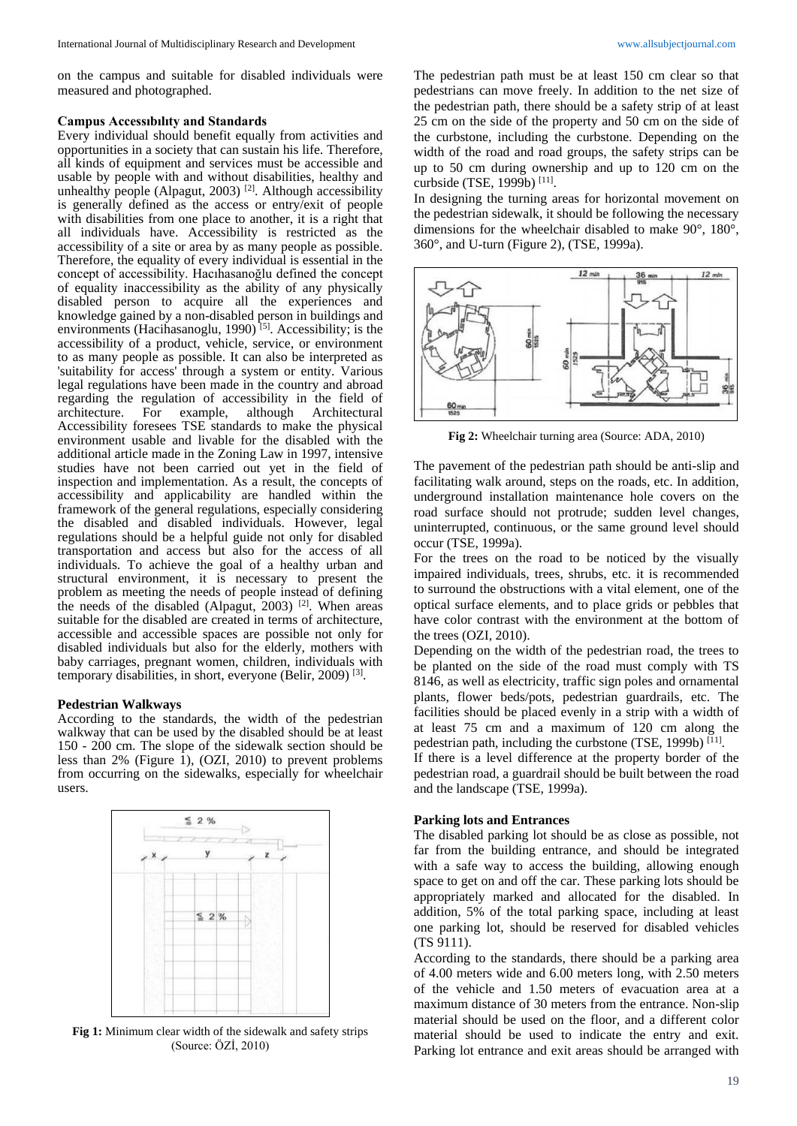on the campus and suitable for disabled individuals were measured and photographed.

#### **Campus Accessıbılıty and Standards**

Every individual should benefit equally from activities and opportunities in a society that can sustain his life. Therefore, all kinds of equipment and services must be accessible and usable by people with and without disabilities, healthy and unhealthy people (Alpagut, 2003)<sup>[2]</sup>. Although accessibility is generally defined as the access or entry/exit of people with disabilities from one place to another, it is a right that all individuals have. Accessibility is restricted as the accessibility of a site or area by as many people as possible. Therefore, the equality of every individual is essential in the concept of accessibility. Hacıhasanoğlu defined the concept of equality inaccessibility as the ability of any physically disabled person to acquire all the experiences and knowledge gained by a non-disabled person in buildings and environments (Hacihasanoglu, 1990)<sup>[5]</sup>. Accessibility; is the accessibility of a product, vehicle, service, or environment to as many people as possible. It can also be interpreted as 'suitability for access' through a system or entity. Various legal regulations have been made in the country and abroad regarding the regulation of accessibility in the field of architecture. For example, although Architectural Accessibility foresees TSE standards to make the physical environment usable and livable for the disabled with the additional article made in the Zoning Law in 1997, intensive studies have not been carried out yet in the field of inspection and implementation. As a result, the concepts of accessibility and applicability are handled within the framework of the general regulations, especially considering the disabled and disabled individuals. However, legal regulations should be a helpful guide not only for disabled transportation and access but also for the access of all individuals. To achieve the goal of a healthy urban and structural environment, it is necessary to present the problem as meeting the needs of people instead of defining the needs of the disabled (Alpagut,  $2003$ )<sup>[2]</sup>. When areas suitable for the disabled are created in terms of architecture, accessible and accessible spaces are possible not only for disabled individuals but also for the elderly, mothers with baby carriages, pregnant women, children, individuals with temporary disabilities, in short, everyone (Belir, 2009)<sup>[3]</sup>.

#### **Pedestrian Walkways**

According to the standards, the width of the pedestrian walkway that can be used by the disabled should be at least 150 - 200 cm. The slope of the sidewalk section should be less than 2% (Figure 1), (OZI, 2010) to prevent problems from occurring on the sidewalks, especially for wheelchair users.



**Fig 1:** Minimum clear width of the sidewalk and safety strips (Source: ÖZİ, 2010)

The pedestrian path must be at least 150 cm clear so that pedestrians can move freely. In addition to the net size of the pedestrian path, there should be a safety strip of at least 25 cm on the side of the property and 50 cm on the side of the curbstone, including the curbstone. Depending on the width of the road and road groups, the safety strips can be up to 50 cm during ownership and up to 120 cm on the curbside (TSE, 1999b)<sup>[11]</sup>.

In designing the turning areas for horizontal movement on the pedestrian sidewalk, it should be following the necessary dimensions for the wheelchair disabled to make 90°, 180°, 360°, and U-turn (Figure 2), (TSE, 1999a).



**Fig 2:** Wheelchair turning area (Source: ADA, 2010)

The pavement of the pedestrian path should be anti-slip and facilitating walk around, steps on the roads, etc. In addition, underground installation maintenance hole covers on the road surface should not protrude; sudden level changes, uninterrupted, continuous, or the same ground level should occur (TSE, 1999a).

For the trees on the road to be noticed by the visually impaired individuals, trees, shrubs, etc. it is recommended to surround the obstructions with a vital element, one of the optical surface elements, and to place grids or pebbles that have color contrast with the environment at the bottom of the trees (OZI, 2010).

Depending on the width of the pedestrian road, the trees to be planted on the side of the road must comply with TS 8146, as well as electricity, traffic sign poles and ornamental plants, flower beds/pots, pedestrian guardrails, etc. The facilities should be placed evenly in a strip with a width of at least 75 cm and a maximum of 120 cm along the pedestrian path, including the curbstone (TSE, 1999b)<sup>[11]</sup>.

If there is a level difference at the property border of the pedestrian road, a guardrail should be built between the road and the landscape (TSE, 1999a).

#### **Parking lots and Entrances**

The disabled parking lot should be as close as possible, not far from the building entrance, and should be integrated with a safe way to access the building, allowing enough space to get on and off the car. These parking lots should be appropriately marked and allocated for the disabled. In addition, 5% of the total parking space, including at least one parking lot, should be reserved for disabled vehicles (TS 9111).

According to the standards, there should be a parking area of 4.00 meters wide and 6.00 meters long, with 2.50 meters of the vehicle and 1.50 meters of evacuation area at a maximum distance of 30 meters from the entrance. Non-slip material should be used on the floor, and a different color material should be used to indicate the entry and exit. Parking lot entrance and exit areas should be arranged with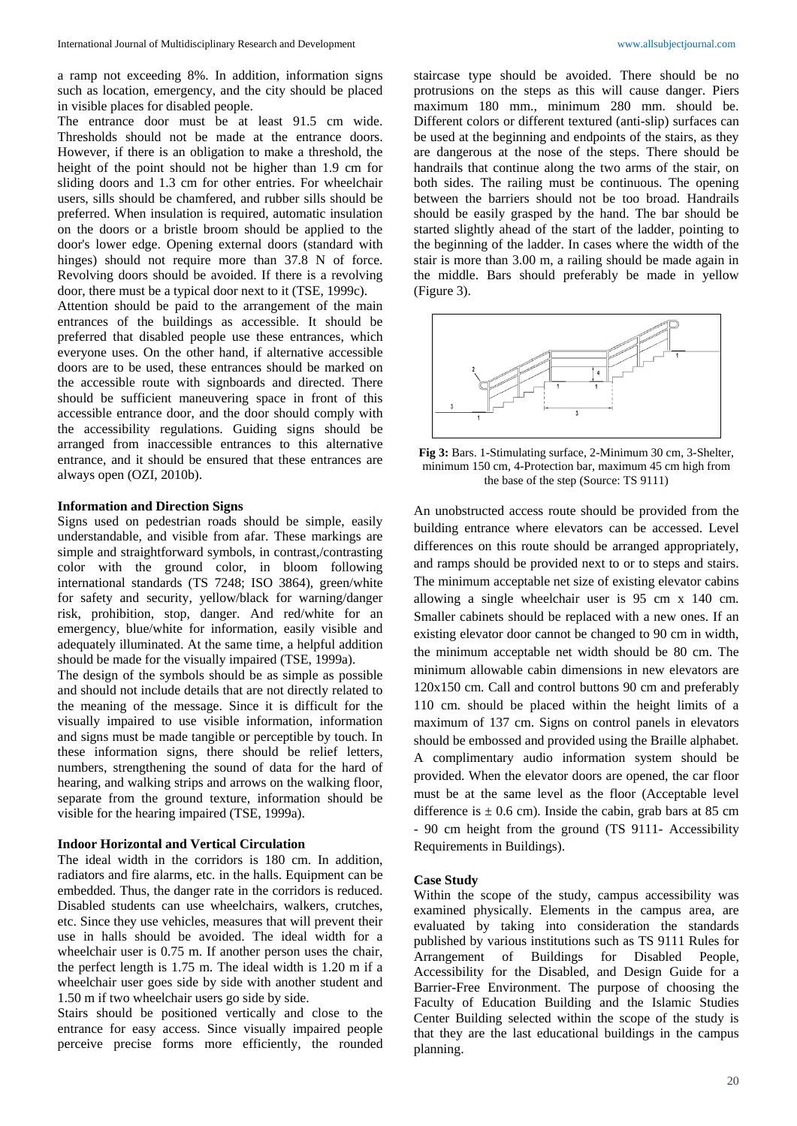a ramp not exceeding 8%. In addition, information signs such as location, emergency, and the city should be placed in visible places for disabled people.

The entrance door must be at least 91.5 cm wide. Thresholds should not be made at the entrance doors. However, if there is an obligation to make a threshold, the height of the point should not be higher than 1.9 cm for sliding doors and 1.3 cm for other entries. For wheelchair users, sills should be chamfered, and rubber sills should be preferred. When insulation is required, automatic insulation on the doors or a bristle broom should be applied to the door's lower edge. Opening external doors (standard with hinges) should not require more than 37.8 N of force. Revolving doors should be avoided. If there is a revolving door, there must be a typical door next to it (TSE, 1999c).

Attention should be paid to the arrangement of the main entrances of the buildings as accessible. It should be preferred that disabled people use these entrances, which everyone uses. On the other hand, if alternative accessible doors are to be used, these entrances should be marked on the accessible route with signboards and directed. There should be sufficient maneuvering space in front of this accessible entrance door, and the door should comply with the accessibility regulations. Guiding signs should be arranged from inaccessible entrances to this alternative entrance, and it should be ensured that these entrances are always open (OZI, 2010b).

#### **Information and Direction Signs**

Signs used on pedestrian roads should be simple, easily understandable, and visible from afar. These markings are simple and straightforward symbols, in contrast,/contrasting color with the ground color, in bloom following international standards (TS 7248; ISO 3864), green/white for safety and security, yellow/black for warning/danger risk, prohibition, stop, danger. And red/white for an emergency, blue/white for information, easily visible and adequately illuminated. At the same time, a helpful addition should be made for the visually impaired (TSE, 1999a).

The design of the symbols should be as simple as possible and should not include details that are not directly related to the meaning of the message. Since it is difficult for the visually impaired to use visible information, information and signs must be made tangible or perceptible by touch. In these information signs, there should be relief letters, numbers, strengthening the sound of data for the hard of hearing, and walking strips and arrows on the walking floor, separate from the ground texture, information should be visible for the hearing impaired (TSE, 1999a).

### **Indoor Horizontal and Vertical Circulation**

The ideal width in the corridors is 180 cm. In addition, radiators and fire alarms, etc. in the halls. Equipment can be embedded. Thus, the danger rate in the corridors is reduced. Disabled students can use wheelchairs, walkers, crutches, etc. Since they use vehicles, measures that will prevent their use in halls should be avoided. The ideal width for a wheelchair user is 0.75 m. If another person uses the chair, the perfect length is 1.75 m. The ideal width is 1.20 m if a wheelchair user goes side by side with another student and 1.50 m if two wheelchair users go side by side.

Stairs should be positioned vertically and close to the entrance for easy access. Since visually impaired people perceive precise forms more efficiently, the rounded

staircase type should be avoided. There should be no protrusions on the steps as this will cause danger. Piers maximum 180 mm., minimum 280 mm. should be. Different colors or different textured (anti-slip) surfaces can be used at the beginning and endpoints of the stairs, as they are dangerous at the nose of the steps. There should be handrails that continue along the two arms of the stair, on both sides. The railing must be continuous. The opening between the barriers should not be too broad. Handrails should be easily grasped by the hand. The bar should be started slightly ahead of the start of the ladder, pointing to the beginning of the ladder. In cases where the width of the stair is more than 3.00 m, a railing should be made again in the middle. Bars should preferably be made in yellow (Figure 3).



**Fig 3:** Bars. 1-Stimulating surface, 2-Minimum 30 cm, 3-Shelter, minimum 150 cm, 4-Protection bar, maximum 45 cm high from the base of the step (Source: TS 9111)

An unobstructed access route should be provided from the building entrance where elevators can be accessed. Level differences on this route should be arranged appropriately, and ramps should be provided next to or to steps and stairs. The minimum acceptable net size of existing elevator cabins allowing a single wheelchair user is 95 cm x 140 cm. Smaller cabinets should be replaced with a new ones. If an existing elevator door cannot be changed to 90 cm in width, the minimum acceptable net width should be 80 cm. The minimum allowable cabin dimensions in new elevators are 120x150 cm. Call and control buttons 90 cm and preferably 110 cm. should be placed within the height limits of a maximum of 137 cm. Signs on control panels in elevators should be embossed and provided using the Braille alphabet. A complimentary audio information system should be provided. When the elevator doors are opened, the car floor must be at the same level as the floor (Acceptable level difference is  $\pm$  0.6 cm). Inside the cabin, grab bars at 85 cm - 90 cm height from the ground (TS 9111- Accessibility Requirements in Buildings).

#### **Case Study**

Within the scope of the study, campus accessibility was examined physically. Elements in the campus area, are evaluated by taking into consideration the standards published by various institutions such as TS 9111 Rules for Arrangement of Buildings for Disabled People, Accessibility for the Disabled, and Design Guide for a Barrier-Free Environment. The purpose of choosing the Faculty of Education Building and the Islamic Studies Center Building selected within the scope of the study is that they are the last educational buildings in the campus planning.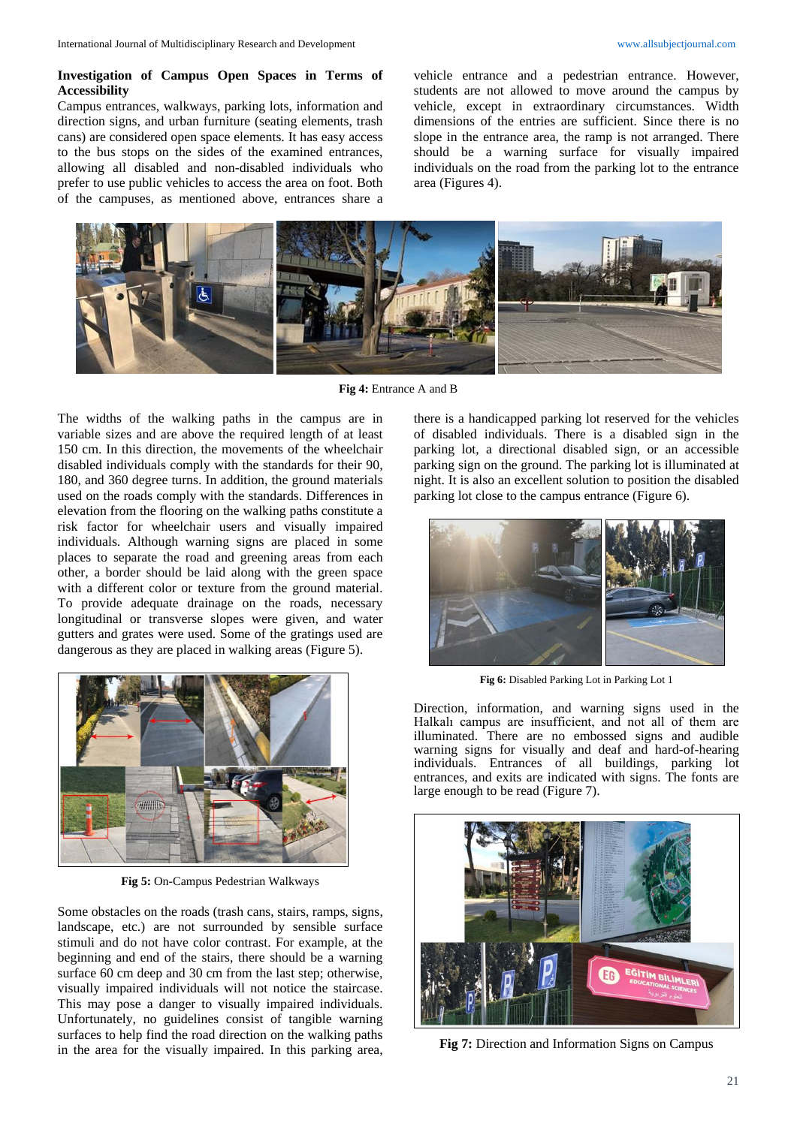# **Investigation of Campus Open Spaces in Terms of Accessibility**

Campus entrances, walkways, parking lots, information and direction signs, and urban furniture (seating elements, trash cans) are considered open space elements. It has easy access to the bus stops on the sides of the examined entrances, allowing all disabled and non-disabled individuals who prefer to use public vehicles to access the area on foot. Both of the campuses, as mentioned above, entrances share a vehicle entrance and a pedestrian entrance. However, students are not allowed to move around the campus by vehicle, except in extraordinary circumstances. Width dimensions of the entries are sufficient. Since there is no slope in the entrance area, the ramp is not arranged. There should be a warning surface for visually impaired individuals on the road from the parking lot to the entrance area (Figures 4).



**Fig 4:** Entrance A and B

The widths of the walking paths in the campus are in variable sizes and are above the required length of at least 150 cm. In this direction, the movements of the wheelchair disabled individuals comply with the standards for their 90, 180, and 360 degree turns. In addition, the ground materials used on the roads comply with the standards. Differences in elevation from the flooring on the walking paths constitute a risk factor for wheelchair users and visually impaired individuals. Although warning signs are placed in some places to separate the road and greening areas from each other, a border should be laid along with the green space with a different color or texture from the ground material. To provide adequate drainage on the roads, necessary longitudinal or transverse slopes were given, and water gutters and grates were used. Some of the gratings used are dangerous as they are placed in walking areas (Figure 5).



**Fig 5:** On-Campus Pedestrian Walkways

Some obstacles on the roads (trash cans, stairs, ramps, signs, landscape, etc.) are not surrounded by sensible surface stimuli and do not have color contrast. For example, at the beginning and end of the stairs, there should be a warning surface 60 cm deep and 30 cm from the last step; otherwise, visually impaired individuals will not notice the staircase. This may pose a danger to visually impaired individuals. Unfortunately, no guidelines consist of tangible warning surfaces to help find the road direction on the walking paths in the area for the visually impaired. In this parking area,

there is a handicapped parking lot reserved for the vehicles of disabled individuals. There is a disabled sign in the parking lot, a directional disabled sign, or an accessible parking sign on the ground. The parking lot is illuminated at night. It is also an excellent solution to position the disabled parking lot close to the campus entrance (Figure 6).



**Fig 6:** Disabled Parking Lot in Parking Lot 1

Direction, information, and warning signs used in the Halkalı campus are insufficient, and not all of them are illuminated. There are no embossed signs and audible warning signs for visually and deaf and hard-of-hearing individuals. Entrances of all buildings, parking lot entrances, and exits are indicated with signs. The fonts are large enough to be read (Figure 7).



**Fig 7:** Direction and Information Signs on Campus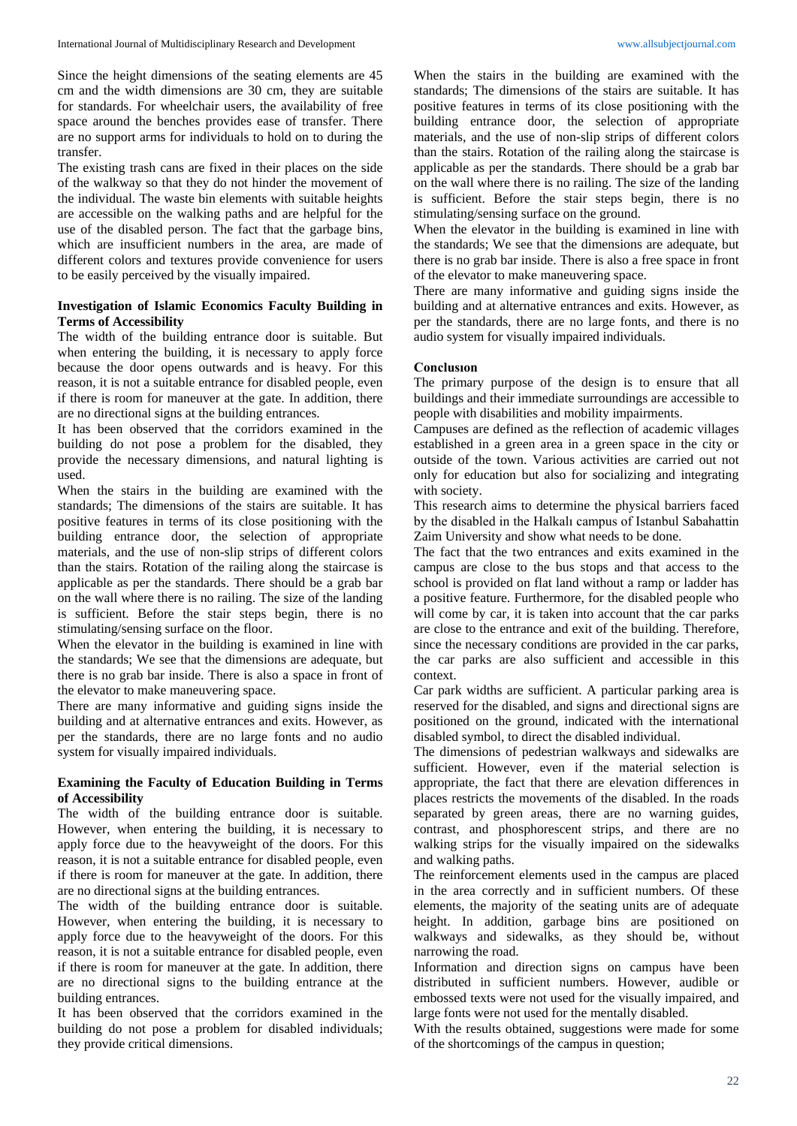Since the height dimensions of the seating elements are 45 cm and the width dimensions are 30 cm, they are suitable for standards. For wheelchair users, the availability of free space around the benches provides ease of transfer. There are no support arms for individuals to hold on to during the transfer.

The existing trash cans are fixed in their places on the side of the walkway so that they do not hinder the movement of the individual. The waste bin elements with suitable heights are accessible on the walking paths and are helpful for the use of the disabled person. The fact that the garbage bins, which are insufficient numbers in the area, are made of different colors and textures provide convenience for users to be easily perceived by the visually impaired.

### **Investigation of Islamic Economics Faculty Building in Terms of Accessibility**

The width of the building entrance door is suitable. But when entering the building, it is necessary to apply force because the door opens outwards and is heavy. For this reason, it is not a suitable entrance for disabled people, even if there is room for maneuver at the gate. In addition, there are no directional signs at the building entrances.

It has been observed that the corridors examined in the building do not pose a problem for the disabled, they provide the necessary dimensions, and natural lighting is used.

When the stairs in the building are examined with the standards; The dimensions of the stairs are suitable. It has positive features in terms of its close positioning with the building entrance door, the selection of appropriate materials, and the use of non-slip strips of different colors than the stairs. Rotation of the railing along the staircase is applicable as per the standards. There should be a grab bar on the wall where there is no railing. The size of the landing is sufficient. Before the stair steps begin, there is no stimulating/sensing surface on the floor.

When the elevator in the building is examined in line with the standards; We see that the dimensions are adequate, but there is no grab bar inside. There is also a space in front of the elevator to make maneuvering space.

There are many informative and guiding signs inside the building and at alternative entrances and exits. However, as per the standards, there are no large fonts and no audio system for visually impaired individuals.

# **Examining the Faculty of Education Building in Terms of Accessibility**

The width of the building entrance door is suitable. However, when entering the building, it is necessary to apply force due to the heavyweight of the doors. For this reason, it is not a suitable entrance for disabled people, even if there is room for maneuver at the gate. In addition, there are no directional signs at the building entrances.

The width of the building entrance door is suitable. However, when entering the building, it is necessary to apply force due to the heavyweight of the doors. For this reason, it is not a suitable entrance for disabled people, even if there is room for maneuver at the gate. In addition, there are no directional signs to the building entrance at the building entrances.

It has been observed that the corridors examined in the building do not pose a problem for disabled individuals; they provide critical dimensions.

When the stairs in the building are examined with the standards; The dimensions of the stairs are suitable. It has positive features in terms of its close positioning with the building entrance door, the selection of appropriate materials, and the use of non-slip strips of different colors than the stairs. Rotation of the railing along the staircase is applicable as per the standards. There should be a grab bar on the wall where there is no railing. The size of the landing is sufficient. Before the stair steps begin, there is no stimulating/sensing surface on the ground.

When the elevator in the building is examined in line with the standards; We see that the dimensions are adequate, but there is no grab bar inside. There is also a free space in front of the elevator to make maneuvering space.

There are many informative and guiding signs inside the building and at alternative entrances and exits. However, as per the standards, there are no large fonts, and there is no audio system for visually impaired individuals.

### **Conclusıon**

The primary purpose of the design is to ensure that all buildings and their immediate surroundings are accessible to people with disabilities and mobility impairments.

Campuses are defined as the reflection of academic villages established in a green area in a green space in the city or outside of the town. Various activities are carried out not only for education but also for socializing and integrating with society.

This research aims to determine the physical barriers faced by the disabled in the Halkalı campus of Istanbul Sabahattin Zaim University and show what needs to be done.

The fact that the two entrances and exits examined in the campus are close to the bus stops and that access to the school is provided on flat land without a ramp or ladder has a positive feature. Furthermore, for the disabled people who will come by car, it is taken into account that the car parks are close to the entrance and exit of the building. Therefore, since the necessary conditions are provided in the car parks, the car parks are also sufficient and accessible in this context.

Car park widths are sufficient. A particular parking area is reserved for the disabled, and signs and directional signs are positioned on the ground, indicated with the international disabled symbol, to direct the disabled individual.

The dimensions of pedestrian walkways and sidewalks are sufficient. However, even if the material selection is appropriate, the fact that there are elevation differences in places restricts the movements of the disabled. In the roads separated by green areas, there are no warning guides, contrast, and phosphorescent strips, and there are no walking strips for the visually impaired on the sidewalks and walking paths.

The reinforcement elements used in the campus are placed in the area correctly and in sufficient numbers. Of these elements, the majority of the seating units are of adequate height. In addition, garbage bins are positioned on walkways and sidewalks, as they should be, without narrowing the road.

Information and direction signs on campus have been distributed in sufficient numbers. However, audible or embossed texts were not used for the visually impaired, and large fonts were not used for the mentally disabled.

With the results obtained, suggestions were made for some of the shortcomings of the campus in question;